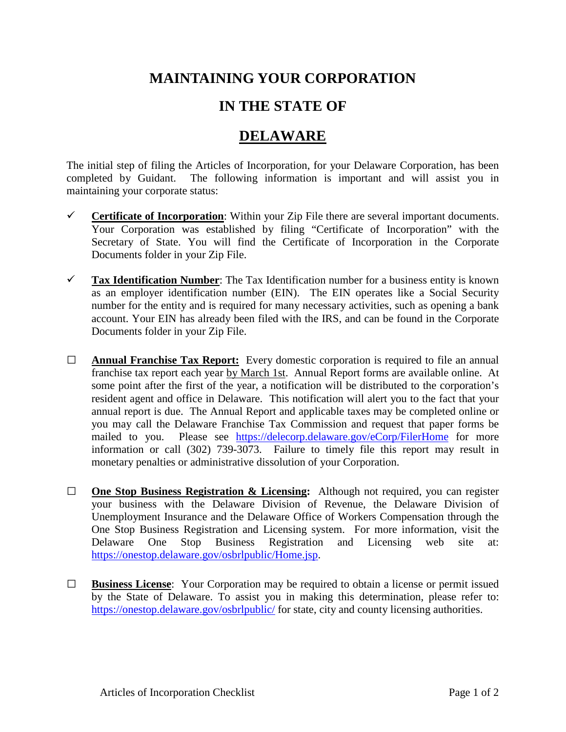## **MAINTAINING YOUR CORPORATION**

## **IN THE STATE OF**

## **DELAWARE**

The initial step of filing the Articles of Incorporation, for your Delaware Corporation, has been completed by Guidant. The following information is important and will assist you in maintaining your corporate status:

- **Certificate of Incorporation:** Within your Zip File there are several important documents. Your Corporation was established by filing "Certificate of Incorporation" with the Secretary of State. You will find the Certificate of Incorporation in the Corporate Documents folder in your Zip File.
- **Tax Identification Number**: The Tax Identification number for a business entity is known as an employer identification number (EIN). The EIN operates like a Social Security number for the entity and is required for many necessary activities, such as opening a bank account. Your EIN has already been filed with the IRS, and can be found in the Corporate Documents folder in your Zip File.
- **□ Annual Franchise Tax Report:** Every domestic corporation is required to file an annual franchise tax report each year by March 1st. Annual Report forms are available online. At some point after the first of the year, a notification will be distributed to the corporation's resident agent and office in Delaware. This notification will alert you to the fact that your annual report is due. The Annual Report and applicable taxes may be completed online or you may call the Delaware Franchise Tax Commission and request that paper forms be mailed to you. Please see <https://delecorp.delaware.gov/eCorp/FilerHome> for more information or call (302) 739-3073. Failure to timely file this report may result in monetary penalties or administrative dissolution of your Corporation.
- **□ One Stop Business Registration & Licensing:** Although not required, you can register your business with the Delaware Division of Revenue, the Delaware Division of Unemployment Insurance and the Delaware Office of Workers Compensation through the One Stop Business Registration and Licensing system. For more information, visit the Delaware One Stop Business Registration and Licensing web site at: [https://onestop.delaware.gov/osbrlpublic/Home.jsp.](https://onestop.delaware.gov/osbrlpublic/Home.jsp)
- **□ Business License**: Your Corporation may be required to obtain a license or permit issued by the State of Delaware. To assist you in making this determination, please refer to: <https://onestop.delaware.gov/osbrlpublic/> for state, city and county licensing authorities.